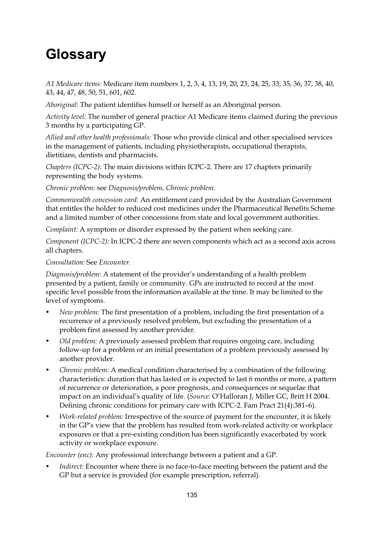## **Glossary**

*A1 Medicare items:* Medicare item numbers 1, 2, 3, 4, 13, 19, 20, 23, 24, 25, 33, 35, 36, 37, 38, 40, 43, 44, 47, 48, 50, 51, 601, 602.

*Aboriginal:* The patient identifies himself or herself as an Aboriginal person.

*Activity level:* The number of general practice A1 Medicare items claimed during the previous 3 months by a participating GP.

*Allied and other health professionals:* Those who provide clinical and other specialised services in the management of patients, including physiotherapists, occupational therapists, dietitians, dentists and pharmacists.

*Chapters (ICPC-2):* The main divisions within ICPC-2. There are 17 chapters primarily representing the body systems.

*Chronic problem:* see *Diagnosis/problem, Chronic problem.*

*Commonwealth concession card:* An entitlement card provided by the Australian Government that entitles the holder to reduced cost medicines under the Pharmaceutical Benefits Scheme and a limited number of other concessions from state and local government authorities.

*Complaint:* A symptom or disorder expressed by the patient when seeking care.

*Component (ICPC-2):* In ICPC-2 there are seven components which act as a second axis across all chapters.

## *Consultation:* See *Encounter.*

*Diagnosis/problem:* A statement of the provider's understanding of a health problem presented by a patient, family or community. GPs are instructed to record at the most specific level possible from the information available at the time. It may be limited to the level of symptoms.

- *New problem:* The first presentation of a problem, including the first presentation of a recurrence of a previously resolved problem, but excluding the presentation of a problem first assessed by another provider.
- *Old problem:* A previously assessed problem that requires ongoing care, including follow-up for a problem or an initial presentation of a problem previously assessed by another provider.
- *Chronic problem:* A medical condition characterised by a combination of the following characteristics: duration that has lasted or is expected to last 6 months or more, a pattern of recurrence or deterioration, a poor prognosis, and consequences or sequelae that impact on an individual's quality of life. (*Source:* O'Halloran J, Miller GC, Britt H 2004. Defining chronic conditions for primary care with ICPC-2. Fam Pract 21(4):381–6).
- *Work-related problem:* Irrespective of the source of payment for the encounter, it is likely in the GP's view that the problem has resulted from work-related activity or workplace exposures or that a pre-existing condition has been significantly exacerbated by work activity or workplace exposure.

*Encounter (enc):* Any professional interchange between a patient and a GP.

*Indirect:* Encounter where there is no face-to-face meeting between the patient and the GP but a service is provided (for example prescription, referral).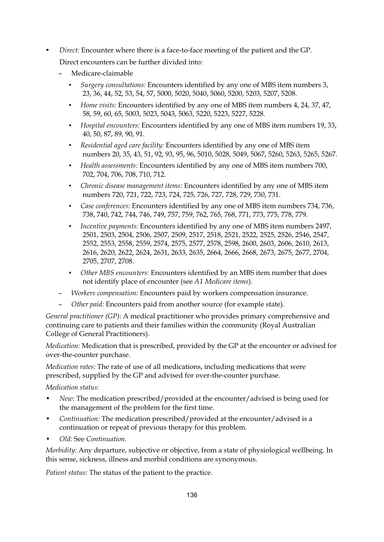- *Direct:* Encounter where there is a face-to-face meeting of the patient and the GP. Direct encounters can be further divided into:
	- Medicare-claimable
		- - *Surgery consultations:* Encounters identified by any one of MBS item numbers 3, 23, 36, 44, 52, 53, 54, 57, 5000, 5020, 5040, 5060, 5200, 5203, 5207, 5208.
		- - *Home visits:* Encounters identified by any one of MBS item numbers 4, 24, 37, 47, 58, 59, 60, 65, 5003, 5023, 5043, 5063, 5220, 5223, 5227, 5228.
		- - *Hospital encounters:* Encounters identified by any one of MBS item numbers 19, 33, 40, 50, 87, 89, 90, 91.
		- - *Residential aged care facility:* Encounters identified by any one of MBS item numbers 20, 35, 43, 51, 92, 93, 95, 96, 5010, 5028, 5049, 5067, 5260, 5263, 5265, 5267.
		- - *Health assessments:* Encounters identified by any one of MBS item numbers 700, 702, 704, 706, 708, 710, 712.
		- - *Chronic disease management items:* Encounters identified by any one of MBS item numbers 720, 721, 722, 723, 724, 725, 726, 727, 728, 729, 730, 731.
		- - *Case conferences:* Encounters identified by any one of MBS item numbers 734, 736, 738, 740, 742, 744, 746, 749, 757, 759, 762, 765, 768, 771, 773, 775, 778, 779.
		- - *Incentive payments:* Encounters identified by any one of MBS item numbers 2497, 2501, 2503, 2504, 2506, 2507, 2509, 2517, 2518, 2521, 2522, 2525, 2526, 2546, 2547, 2552, 2553, 2558, 2559, 2574, 2575, 2577, 2578, 2598, 2600, 2603, 2606, 2610, 2613, 2616, 2620, 2622, 2624, 2631, 2633, 2635, 2664, 2666, 2668, 2673, 2675, 2677, 2704, 2705, 2707, 2708.
		- - *Other MBS encounters:* Encounters identified by an MBS item number that does not identify place of encounter (see *A1 Medicare items*).
	- *Workers compensation:* Encounters paid by workers compensation insurance.
	- *Other paid:* Encounters paid from another source (for example state).

*General practitioner (GP):* A medical practitioner who provides primary comprehensive and continuing care to patients and their families within the community (Royal Australian College of General Practitioners).

*Medication:* Medication that is prescribed, provided by the GP at the encounter or advised for over-the-counter purchase.

*Medication rates:* The rate of use of all medications, including medications that were prescribed, supplied by the GP and advised for over-the-counter purchase.

*Medication status:* 

- *New:* The medication prescribed/provided at the encounter/advised is being used for the management of the problem for the first time.
- *Continuation:* The medication prescribed/provided at the encounter/advised is a continuation or repeat of previous therapy for this problem.
- *Old:* See *Continuation.*

*Morbidity:* Any departure, subjective or objective, from a state of physiological wellbeing. In this sense, sickness, illness and morbid conditions are synonymous.

*Patient status:* The status of the patient to the practice.